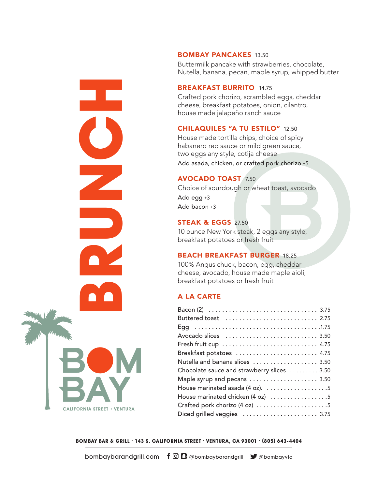BOMBAY PANCAKES 13.50

Buttermilk pancake with strawberries, chocolate, Nutella, banana, pecan, maple syrup, whipped butter

#### BREAKFAST BURRITO 14.75

# CHILAQUILES "A TU ESTILO" 12.50

#### AVOCADO TOAST 7.50

#### **STEAK & EGGS 27.50**

#### BEACH BREAKFAST BURGER 18.25

#### A LA CARTE

|                       | <b>BREAKFAST BURRITO 14.75</b><br>Crafted pork chorizo, scrambled eggs, cheddar<br>cheese, breakfast potatoes, onion, cilantro,<br>house made jalapeño ranch sauce                                                                                                                                                                 |
|-----------------------|------------------------------------------------------------------------------------------------------------------------------------------------------------------------------------------------------------------------------------------------------------------------------------------------------------------------------------|
|                       | <b>CHILAQUILES "A TU ESTILO" 12.50</b><br>House made tortilla chips, choice of spicy<br>habanero red sauce or mild green sauce,<br>two eggs any style, cotija cheese<br>Add asada, chicken, or crafted pork chorizo +5                                                                                                             |
|                       | <b>AVOCADO TOAST 7.50</b><br>Choice of sourdough or wheat toast, avocado<br>Add egg +3<br>Add bacon +3                                                                                                                                                                                                                             |
|                       | <b>STEAK &amp; EGGS 27.50</b><br>10 ounce New York steak, 2 eggs any style,<br>breakfast potatoes or fresh fruit                                                                                                                                                                                                                   |
|                       | <b>BEACH BREAKFAST BURGER 18.25</b><br>100% Angus chuck, bacon, egg, cheddar<br>cheese, avocado, house made maple aioli,<br>breakfast potatoes or fresh fruit                                                                                                                                                                      |
|                       | <b>A LA CARTE</b>                                                                                                                                                                                                                                                                                                                  |
| RNIA STREET • VENTURA | Buttered toast  2.75<br>Fresh fruit cup  4.75<br>Breakfast potatoes  4.75<br>Nutella and banana slices  3.50<br>Chocolate sauce and strawberry slices  3.50<br>Maple syrup and pecans  3.50<br>House marinated asada (4 oz). 5<br>House marinated chicken (4 oz) 5<br>Crafted pork chorizo (4 oz) 5<br>Diced grilled veggies  3.75 |
|                       | OMBAY BAR & GRILL · 143 S. CALIFORNIA STREET · VENTURA, CA 93001 · (805) 643-4404                                                                                                                                                                                                                                                  |
| bombaybarandgrill.com | $\mathbf{f} \mathbf{\odot} \mathbf{C}$ @bombaybarandgrill $\mathbf{y}$ @bombayvta                                                                                                                                                                                                                                                  |